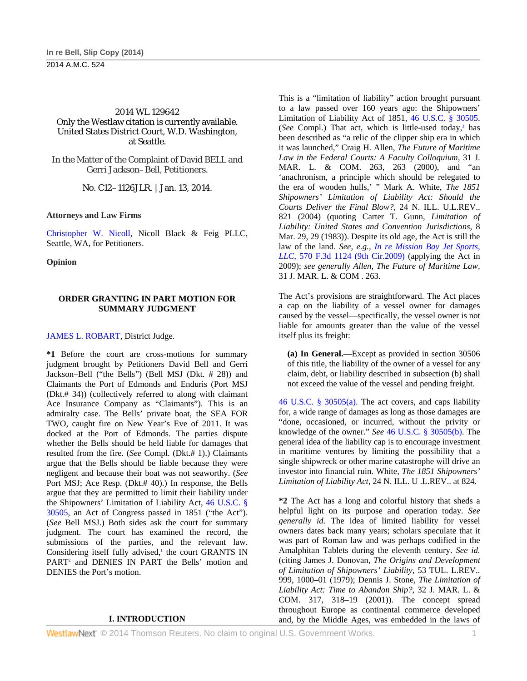## 2014 WL 129642 Only the Westlaw citation is currently available. United States District Court, W.D. Washington, at Seattle.

In the Matter of the Complaint of David BELL and Gerri Jackson–Bell, Petitioners.

No. C12–1126JLR. | Jan. 13, 2014.

**Attorneys and Law Firms** 

Christopher W. Nicoll, Nicoll Black & Feig PLLC, Seattle, WA, for Petitioners.

**Opinion** 

## **ORDER GRANTING IN PART MOTION FOR SUMMARY JUDGMENT**

### JAMES L. ROBART, District Judge.

**\*1** Before the court are cross-motions for summary judgment brought by Petitioners David Bell and Gerri Jackson–Bell ("the Bells") (Bell MSJ (Dkt. # 28)) and Claimants the Port of Edmonds and Enduris (Port MSJ (Dkt.# 34)) (collectively referred to along with claimant Ace Insurance Company as "Claimants"). This is an admiralty case. The Bells' private boat, the SEA FOR TWO, caught fire on New Year's Eve of 2011. It was docked at the Port of Edmonds. The parties dispute whether the Bells should be held liable for damages that resulted from the fire. (*See* Compl. (Dkt.# 1).) Claimants argue that the Bells should be liable because they were negligent and because their boat was not seaworthy. (*See* Port MSJ; Ace Resp. (Dkt.# 40).) In response, the Bells argue that they are permitted to limit their liability under the Shipowners' Limitation of Liability Act, 46 U.S.C. § 30505, an Act of Congress passed in 1851 ("the Act"). (*See* Bell MSJ.) Both sides ask the court for summary judgment. The court has examined the record, the submissions of the parties, and the relevant law. Considering itself fully advised,<sup>1</sup> the court GRANTS IN PART<sup>2</sup> and DENIES IN PART the Bells' motion and DENIES the Port's motion.

#### **I. INTRODUCTION**

This is a "limitation of liability" action brought pursuant to a law passed over 160 years ago: the Shipowners' Limitation of Liability Act of 1851, 46 U.S.C. § 30505. (See Compl.) That act, which is little-used today,<sup>3</sup> has been described as "a relic of the clipper ship era in which it was launched," Craig H. Allen, *The Future of Maritime Law in the Federal Courts: A Faculty Colloquium,* 31 J. MAR. L. & COM. 263, 263 (2000), and "an 'anachronism, a principle which should be relegated to the era of wooden hulls,' " Mark A. White, *The 1851 Shipowners' Limitation of Liability Act: Should the Courts Deliver the Final Blow?,* 24 N. ILL. U.L.REV.. 821 (2004) (quoting Carter T. Gunn, *Limitation of Liability: United States and Convention Jurisdictions,* 8 Mar. 29, 29 (1983)). Despite its old age, the Act is still the law of the land. *See, e.g., In re Mission Bay Jet Sports, LLC,* 570 F.3d 1124 (9th Cir.2009) (applying the Act in 2009); *see generally Allen, The Future of Maritime Law,* 31 J. MAR. L. & COM . 263.

The Act's provisions are straightforward. The Act places a cap on the liability of a vessel owner for damages caused by the vessel—specifically, the vessel owner is not liable for amounts greater than the value of the vessel itself plus its freight:

**(a) In General.**—Except as provided in section 30506 of this title, the liability of the owner of a vessel for any claim, debt, or liability described in subsection (b) shall not exceed the value of the vessel and pending freight.

46 U.S.C. § 30505(a). The act covers, and caps liability for, a wide range of damages as long as those damages are "done, occasioned, or incurred, without the privity or knowledge of the owner." *See* 46 U.S.C. § 30505(b). The general idea of the liability cap is to encourage investment in maritime ventures by limiting the possibility that a single shipwreck or other marine catastrophe will drive an investor into financial ruin. White, *The 1851 Shipowners' Limitation of Liability Act,* 24 N. ILL. U .L.REV.. at 824.

**\*2** The Act has a long and colorful history that sheds a helpful light on its purpose and operation today. *See generally id.* The idea of limited liability for vessel owners dates back many years; scholars speculate that it was part of Roman law and was perhaps codified in the Amalphitan Tablets during the eleventh century. *See id.* (citing James J. Donovan, *The Origins and Development of Limitation of Shipowners' Liability,* 53 TUL. L.REV.. 999, 1000–01 (1979); Dennis J. Stone, *The Limitation of Liability Act: Time to Abandon Ship?,* 32 J. MAR. L. & COM. 317, 318–19 (2001)). The concept spread throughout Europe as continental commerce developed and, by the Middle Ages, was embedded in the laws of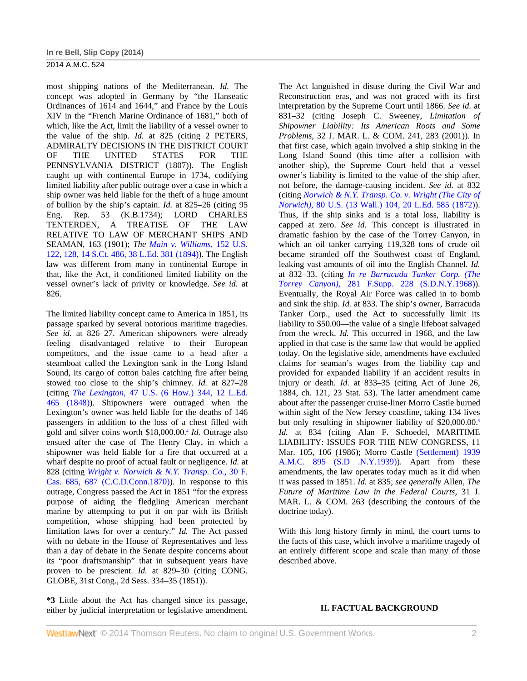most shipping nations of the Mediterranean. *Id.* The concept was adopted in Germany by "the Hanseatic Ordinances of 1614 and 1644," and France by the Louis XIV in the "French Marine Ordinance of 1681," both of which, like the Act, limit the liability of a vessel owner to the value of the ship. *Id.* at 825 (citing 2 PETERS, ADMIRALTY DECISIONS IN THE DISTRICT COURT OF THE UNITED STATES FOR THE PENNSYLVANIA DISTRICT (1807)). The English caught up with continental Europe in 1734, codifying limited liability after public outrage over a case in which a ship owner was held liable for the theft of a huge amount of bullion by the ship's captain. *Id.* at 825–26 (citing 95 Eng. Rep. 53 (K.B.1734); LORD CHARLES TENTERDEN, A TREATISE OF THE LAW RELATIVE TO LAW OF MERCHANT SHIPS AND SEAMAN, 163 (1901); *The Main v. Williams,* 152 U.S. 122, 128, 14 S.Ct. 486, 38 L.Ed. 381 (1894)). The English law was different from many in continental Europe in that, like the Act, it conditioned limited liability on the vessel owner's lack of privity or knowledge. *See id.* at 826.

The limited liability concept came to America in 1851, its passage sparked by several notorious maritime tragedies. *See id.* at 826–27. American shipowners were already feeling disadvantaged relative to their European competitors, and the issue came to a head after a steamboat called the Lexington sank in the Long Island Sound, its cargo of cotton bales catching fire after being stowed too close to the ship's chimney. *Id.* at 827–28 (citing *The Lexington,* 47 U.S. (6 How.) 344, 12 L.Ed. 465 (1848)). Shipowners were outraged when the Lexington's owner was held liable for the deaths of 146 passengers in addition to the loss of a chest filled with gold and silver coins worth \$18,000.00.4 *Id.* Outrage also ensued after the case of The Henry Clay, in which a shipowner was held liable for a fire that occurred at a wharf despite no proof of actual fault or negligence. *Id.* at 828 (citing *Wright v. Norwich & N.Y. Transp. Co.,* 30 F. Cas. 685, 687 (C.C.D.Conn.1870)). In response to this outrage, Congress passed the Act in 1851 "for the express purpose of aiding the fledgling American merchant marine by attempting to put it on par with its British competition, whose shipping had been protected by limitation laws for over a century." *Id.* The Act passed with no debate in the House of Representatives and less than a day of debate in the Senate despite concerns about its "poor draftsmanship" that in subsequent years have proven to be prescient. *Id.* at 829–30 (citing CONG. GLOBE, 31st Cong., 2d Sess. 334–35 (1851)).

**\*3** Little about the Act has changed since its passage, either by judicial interpretation or legislative amendment.

The Act languished in disuse during the Civil War and Reconstruction eras, and was not graced with its first interpretation by the Supreme Court until 1866. *See id.* at 831–32 (citing Joseph C. Sweeney, *Limitation of Shipowner Liability: Its American Roots and Some Problems,* 32 J. MAR. L. & COM. 241, 283 (2001)). In that first case, which again involved a ship sinking in the Long Island Sound (this time after a collision with another ship), the Supreme Court held that a vessel owner's liability is limited to the value of the ship after, not before, the damage-causing incident. *See id.* at 832 (citing *Norwich & N.Y. Transp. Co. v. Wright (The City of Norwich),* 80 U.S. (13 Wall.) 104, 20 L.Ed. 585 (1872)). Thus, if the ship sinks and is a total loss, liability is capped at zero. *See id.* This concept is illustrated in dramatic fashion by the case of the Torrey Canyon, in which an oil tanker carrying 119,328 tons of crude oil became stranded off the Southwest coast of England, leaking vast amounts of oil into the English Channel. *Id.* at 832–33. (citing *In re Barracuda Tanker Corp. (The Torrey Canyon),* 281 F.Supp. 228 (S.D.N.Y.1968)). Eventually, the Royal Air Force was called in to bomb and sink the ship. *Id.* at 833. The ship's owner, Barracuda Tanker Corp., used the Act to successfully limit its liability to \$50.00—the value of a single lifeboat salvaged from the wreck. *Id.* This occurred in 1968, and the law applied in that case is the same law that would be applied today. On the legislative side, amendments have excluded claims for seaman's wages from the liability cap and provided for expanded liability if an accident results in injury or death. *Id.* at 833–35 (citing Act of June 26, 1884, ch. 121, 23 Stat. 53). The latter amendment came about after the passenger cruise-liner Morro Castle burned within sight of the New Jersey coastline, taking 134 lives but only resulting in shipowner liability of \$20,000.00.<sup>5</sup> *Id.* at 834 (citing Alan F. Schoedel, MARITIME LIABILITY: ISSUES FOR THE NEW CONGRESS, 11 Mar. 105, 106 (1986); Morro Castle (Settlement) 1939 A.M.C. 895 (S.D .N.Y.1939)). Apart from these amendments, the law operates today much as it did when it was passed in 1851. *Id.* at 835; *see generally* Allen, *The Future of Maritime Law in the Federal Courts,* 31 J. MAR. L. & COM. 263 (describing the contours of the doctrine today).

With this long history firmly in mind, the court turns to the facts of this case, which involve a maritime tragedy of an entirely different scope and scale than many of those described above.

## **II. FACTUAL BACKGROUND**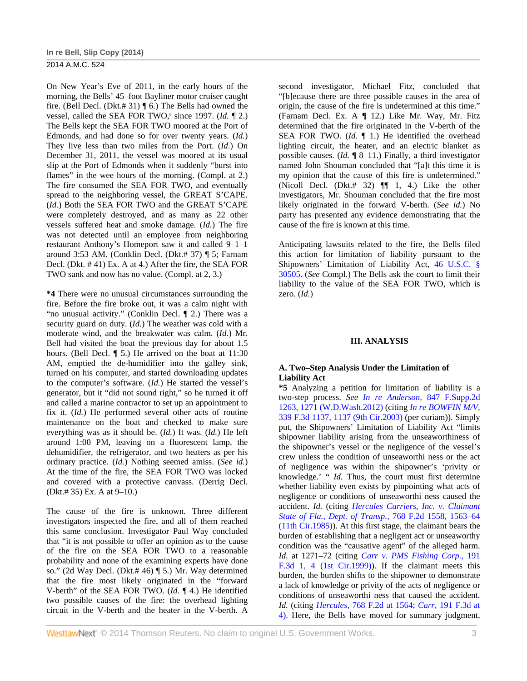On New Year's Eve of 2011, in the early hours of the morning, the Bells' 45–foot Bayliner motor cruiser caught fire. (Bell Decl. (Dkt.# 31) ¶ 6.) The Bells had owned the vessel, called the SEA FOR TWO,<sup>6</sup> since 1997. (*Id.* 12.) The Bells kept the SEA FOR TWO moored at the Port of Edmonds, and had done so for over twenty years. (*Id.*) They live less than two miles from the Port. (*Id.*) On December 31, 2011, the vessel was moored at its usual slip at the Port of Edmonds when it suddenly "burst into flames" in the wee hours of the morning. (Compl. at 2.) The fire consumed the SEA FOR TWO, and eventually spread to the neighboring vessel, the GREAT S'CAPE. (*Id.*) Both the SEA FOR TWO and the GREAT S'CAPE were completely destroyed, and as many as 22 other vessels suffered heat and smoke damage. (*Id.*) The fire was not detected until an employee from neighboring restaurant Anthony's Homeport saw it and called 9–1–1 around 3:53 AM. (Conklin Decl. (Dkt.# 37) ¶ 5; Farnam Decl. (Dkt. # 41) Ex. A at 4.) After the fire, the SEA FOR TWO sank and now has no value. (Compl. at 2, 3.)

**\*4** There were no unusual circumstances surrounding the fire. Before the fire broke out, it was a calm night with "no unusual activity." (Conklin Decl. ¶ 2.) There was a security guard on duty. (*Id.*) The weather was cold with a moderate wind, and the breakwater was calm. (*Id.*) Mr. Bell had visited the boat the previous day for about 1.5 hours. (Bell Decl. ¶ 5.) He arrived on the boat at 11:30 AM, emptied the de-humidifier into the galley sink, turned on his computer, and started downloading updates to the computer's software. (*Id.*) He started the vessel's generator, but it "did not sound right," so he turned it off and called a marine contractor to set up an appointment to fix it. (*Id.*) He performed several other acts of routine maintenance on the boat and checked to make sure everything was as it should be. (*Id.*) It was. (*Id.*) He left around 1:00 PM, leaving on a fluorescent lamp, the dehumidifier, the refrigerator, and two heaters as per his ordinary practice. (*Id.*) Nothing seemed amiss. (*See id.*) At the time of the fire, the SEA FOR TWO was locked and covered with a protective canvass. (Derrig Decl. (Dkt.# 35) Ex. A at 9–10.)

The cause of the fire is unknown. Three different investigators inspected the fire, and all of them reached this same conclusion. Investigator Paul Way concluded that "it is not possible to offer an opinion as to the cause of the fire on the SEA FOR TWO to a reasonable probability and none of the examining experts have done so." (2d Way Decl. (Dkt.# 46) ¶ 5.) Mr. Way determined that the fire most likely originated in the "forward V-berth" of the SEA FOR TWO. (*Id.* ¶ 4.) He identified two possible causes of the fire: the overhead lighting circuit in the V-berth and the heater in the V-berth. A

second investigator, Michael Fitz, concluded that "[b]ecause there are three possible causes in the area of origin, the cause of the fire is undetermined at this time." (Farnam Decl. Ex. A ¶ 12.) Like Mr. Way, Mr. Fitz determined that the fire originated in the V-berth of the SEA FOR TWO. (*Id.* ¶ 1.) He identified the overhead lighting circuit, the heater, and an electric blanket as possible causes. (*Id.* ¶ 8–11.) Finally, a third investigator named John Shouman concluded that "[a]t this time it is my opinion that the cause of this fire is undetermined." (Nicoll Decl. (Dkt.# 32)  $\P$  1, 4.) Like the other investigators, Mr. Shouman concluded that the fire most likely originated in the forward V-berth. (*See id.*) No party has presented any evidence demonstrating that the cause of the fire is known at this time.

Anticipating lawsuits related to the fire, the Bells filed this action for limitation of liability pursuant to the Shipowners' Limitation of Liability Act, 46 U.S.C. § 30505. (*See* Compl.) The Bells ask the court to limit their liability to the value of the SEA FOR TWO, which is zero. (*Id.*)

#### **III. ANALYSIS**

#### **A. Two–Step Analysis Under the Limitation of Liability Act**

**\*5** Analyzing a petition for limitation of liability is a two-step process. *See In re Anderson,* 847 F.Supp.2d 1263, 1271 (W.D.Wash.2012) (citing *In re BOWFIN M/V,* 339 F.3d 1137, 1137 (9th Cir.2003) (per curiam)). Simply put, the Shipowners' Limitation of Liability Act "limits shipowner liability arising from the unseaworthiness of the shipowner's vessel or the negligence of the vessel's crew unless the condition of unseaworthi ness or the act of negligence was within the shipowner's 'privity or knowledge.' " *Id.* Thus, the court must first determine whether liability even exists by pinpointing what acts of negligence or conditions of unseaworthi ness caused the accident. *Id.* (citing *Hercules Carriers, Inc. v. Claimant State of Fla., Dept. of Transp.,* 768 F.2d 1558, 1563–64 (11th Cir.1985)). At this first stage, the claimant bears the burden of establishing that a negligent act or unseaworthy condition was the "causative agent" of the alleged harm. *Id.* at 1271–72 (citing *Carr v. PMS Fishing Corp.,* 191 F.3d 1, 4 (1st Cir.1999)). If the claimant meets this burden, the burden shifts to the shipowner to demonstrate a lack of knowledge or privity of the acts of negligence or conditions of unseaworthi ness that caused the accident. *Id.* (citing *Hercules,* 768 F.2d at 1564; *Carr,* 191 F.3d at 4). Here, the Bells have moved for summary judgment,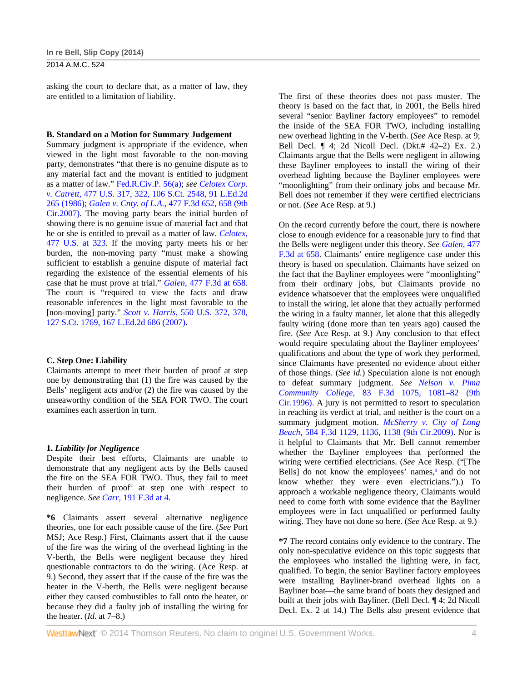asking the court to declare that, as a matter of law, they are entitled to a limitation of liability.

#### **B. Standard on a Motion for Summary Judgement**

Summary judgment is appropriate if the evidence, when viewed in the light most favorable to the non-moving party, demonstrates "that there is no genuine dispute as to any material fact and the movant is entitled to judgment as a matter of law." Fed.R.Civ.P. 56(a); *see Celotex Corp. v. Catrett,* 477 U.S. 317, 322, 106 S.Ct. 2548, 91 L.Ed.2d 265 (1986); *Galen v. Cnty. of L.A.,* 477 F.3d 652, 658 (9th Cir.2007). The moving party bears the initial burden of showing there is no genuine issue of material fact and that he or she is entitled to prevail as a matter of law. *Celotex,* 477 U.S. at 323. If the moving party meets his or her burden, the non-moving party "must make a showing sufficient to establish a genuine dispute of material fact regarding the existence of the essential elements of his case that he must prove at trial." *Galen,* 477 F.3d at 658. The court is "required to view the facts and draw reasonable inferences in the light most favorable to the [non-moving] party." *Scott v. Harris,* 550 U.S. 372, 378, 127 S.Ct. 1769, 167 L.Ed.2d 686 (2007).

#### **C. Step One: Liability**

Claimants attempt to meet their burden of proof at step one by demonstrating that (1) the fire was caused by the Bells' negligent acts and/or (2) the fire was caused by the unseaworthy condition of the SEA FOR TWO. The court examines each assertion in turn.

### **1.** *Liability for Negligence*

Despite their best efforts, Claimants are unable to demonstrate that any negligent acts by the Bells caused the fire on the SEA FOR TWO. Thus, they fail to meet their burden of proof<sup>7</sup> at step one with respect to negligence. *See Carr,* 191 F.3d at 4.

**\*6** Claimants assert several alternative negligence theories, one for each possible cause of the fire. (*See* Port MSJ; Ace Resp.) First, Claimants assert that if the cause of the fire was the wiring of the overhead lighting in the V-berth, the Bells were negligent because they hired questionable contractors to do the wiring. (Ace Resp. at 9.) Second, they assert that if the cause of the fire was the heater in the V-berth, the Bells were negligent because either they caused combustibles to fall onto the heater, or because they did a faulty job of installing the wiring for the heater. (*Id.* at 7–8.)

The first of these theories does not pass muster. The theory is based on the fact that, in 2001, the Bells hired several "senior Bayliner factory employees" to remodel the inside of the SEA FOR TWO, including installing new overhead lighting in the V-berth. (*See* Ace Resp. at 9; Bell Decl. ¶ 4; 2d Nicoll Decl. (Dkt.# 42–2) Ex. 2.) Claimants argue that the Bells were negligent in allowing these Bayliner employees to install the wiring of their overhead lighting because the Bayliner employees were "moonlighting" from their ordinary jobs and because Mr. Bell does not remember if they were certified electricians or not. (*See* Ace Resp. at 9.)

On the record currently before the court, there is nowhere close to enough evidence for a reasonable jury to find that the Bells were negligent under this theory. *See Galen,* 477 F.3d at 658. Claimants' entire negligence case under this theory is based on speculation. Claimants have seized on the fact that the Bayliner employees were "moonlighting" from their ordinary jobs, but Claimants provide no evidence whatsoever that the employees were unqualified to install the wiring, let alone that they actually performed the wiring in a faulty manner, let alone that this allegedly faulty wiring (done more than ten years ago) caused the fire. (*See* Ace Resp. at 9.) Any conclusion to that effect would require speculating about the Bayliner employees' qualifications and about the type of work they performed, since Claimants have presented no evidence about either of those things. (*See id.*) Speculation alone is not enough to defeat summary judgment. *See Nelson v. Pima Community College,* 83 F.3d 1075, 1081–82 (9th Cir.1996). A jury is not permitted to resort to speculation in reaching its verdict at trial, and neither is the court on a summary judgment motion. *McSherry v. City of Long Beach,* 584 F.3d 1129, 1136, 1138 (9th Cir.2009). Nor is it helpful to Claimants that Mr. Bell cannot remember whether the Bayliner employees that performed the wiring were certified electricians. (*See* Ace Resp. ("[The Bells] do not know the employees' names,<sup>8</sup> and do not know whether they were even electricians.").) To approach a workable negligence theory, Claimants would need to come forth with some evidence that the Bayliner employees were in fact unqualified or performed faulty wiring. They have not done so here. (*See* Ace Resp. at 9.)

**\*7** The record contains only evidence to the contrary. The only non-speculative evidence on this topic suggests that the employees who installed the lighting were, in fact, qualified. To begin, the senior Bayliner factory employees were installing Bayliner-brand overhead lights on a Bayliner boat—the same brand of boats they designed and built at their jobs with Bayliner. (Bell Decl. ¶ 4; 2d Nicoll Decl. Ex. 2 at 14.) The Bells also present evidence that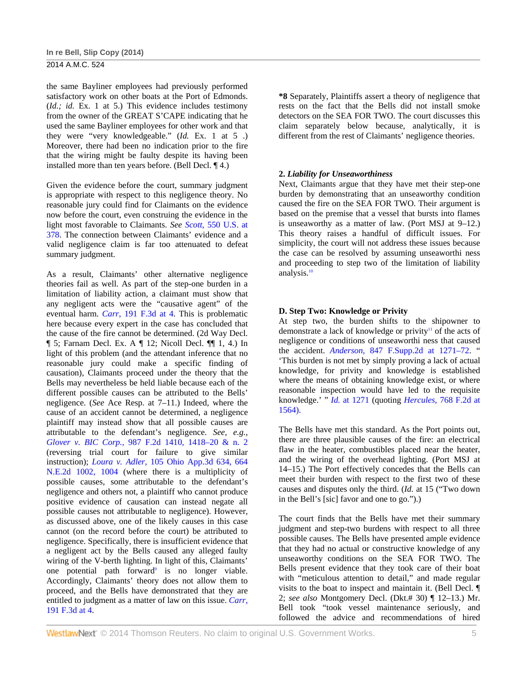the same Bayliner employees had previously performed satisfactory work on other boats at the Port of Edmonds. (*Id.; id.* Ex. 1 at 5.) This evidence includes testimony from the owner of the GREAT S'CAPE indicating that he used the same Bayliner employees for other work and that they were "very knowledgeable." (*Id.* Ex. 1 at 5 .) Moreover, there had been no indication prior to the fire that the wiring might be faulty despite its having been installed more than ten years before. (Bell Decl. ¶ 4.)

Given the evidence before the court, summary judgment is appropriate with respect to this negligence theory. No reasonable jury could find for Claimants on the evidence now before the court, even construing the evidence in the light most favorable to Claimants. *See Scott,* 550 U.S. at 378. The connection between Claimants' evidence and a valid negligence claim is far too attenuated to defeat summary judgment.

As a result, Claimants' other alternative negligence theories fail as well. As part of the step-one burden in a limitation of liability action, a claimant must show that any negligent acts were the "causative agent" of the eventual harm. *Carr,* 191 F.3d at 4. This is problematic here because every expert in the case has concluded that the cause of the fire cannot be determined. (2d Way Decl. ¶ 5; Farnam Decl. Ex. A ¶ 12; Nicoll Decl. ¶¶ 1, 4.) In light of this problem (and the attendant inference that no reasonable jury could make a specific finding of causation), Claimants proceed under the theory that the Bells may nevertheless be held liable because each of the different possible causes can be attributed to the Bells' negligence. (*See* Ace Resp. at 7–11.) Indeed, where the cause of an accident cannot be determined, a negligence plaintiff may instead show that all possible causes are attributable to the defendant's negligence. *See, e.g., Glover v. BIC Corp.,* 987 F.2d 1410, 1418–20 & n. 2 (reversing trial court for failure to give similar instruction); *Loura v. Adler,* 105 Ohio App.3d 634, 664 N.E.2d 1002, 1004 (where there is a multiplicity of possible causes, some attributable to the defendant's negligence and others not, a plaintiff who cannot produce positive evidence of causation can instead negate all possible causes not attributable to negligence). However, as discussed above, one of the likely causes in this case cannot (on the record before the court) be attributed to negligence. Specifically, there is insufficient evidence that a negligent act by the Bells caused any alleged faulty wiring of the V-berth lighting. In light of this, Claimants' one potential path forward<sup>9</sup> is no longer viable. Accordingly, Claimants' theory does not allow them to proceed, and the Bells have demonstrated that they are entitled to judgment as a matter of law on this issue. *Carr,* 191 F.3d at 4.

**\*8** Separately, Plaintiffs assert a theory of negligence that rests on the fact that the Bells did not install smoke detectors on the SEA FOR TWO. The court discusses this claim separately below because, analytically, it is different from the rest of Claimants' negligence theories.

### **2.** *Liability for Unseaworthiness*

Next, Claimants argue that they have met their step-one burden by demonstrating that an unseaworthy condition caused the fire on the SEA FOR TWO. Their argument is based on the premise that a vessel that bursts into flames is unseaworthy as a matter of law. (Port MSJ at 9–12.) This theory raises a handful of difficult issues. For simplicity, the court will not address these issues because the case can be resolved by assuming unseaworthi ness and proceeding to step two of the limitation of liability analysis.10

### **D. Step Two: Knowledge or Privity**

At step two, the burden shifts to the shipowner to demonstrate a lack of knowledge or privity<sup>11</sup> of the acts of negligence or conditions of unseaworthi ness that caused the accident. *Anderson,* 847 F.Supp.2d at 1271–72. " 'This burden is not met by simply proving a lack of actual knowledge, for privity and knowledge is established where the means of obtaining knowledge exist, or where reasonable inspection would have led to the requisite knowledge.' " *Id.* at 1271 (quoting *Hercules,* 768 F.2d at 1564).

The Bells have met this standard. As the Port points out, there are three plausible causes of the fire: an electrical flaw in the heater, combustibles placed near the heater, and the wiring of the overhead lighting. (Port MSJ at 14–15.) The Port effectively concedes that the Bells can meet their burden with respect to the first two of these causes and disputes only the third. (*Id.* at 15 ("Two down in the Bell's [sic] favor and one to go.").)

The court finds that the Bells have met their summary judgment and step-two burdens with respect to all three possible causes. The Bells have presented ample evidence that they had no actual or constructive knowledge of any unseaworthy conditions on the SEA FOR TWO. The Bells present evidence that they took care of their boat with "meticulous attention to detail," and made regular visits to the boat to inspect and maintain it. (Bell Decl. ¶ 2; *see also* Montgomery Decl. (Dkt.# 30) ¶ 12–13.) Mr. Bell took "took vessel maintenance seriously, and followed the advice and recommendations of hired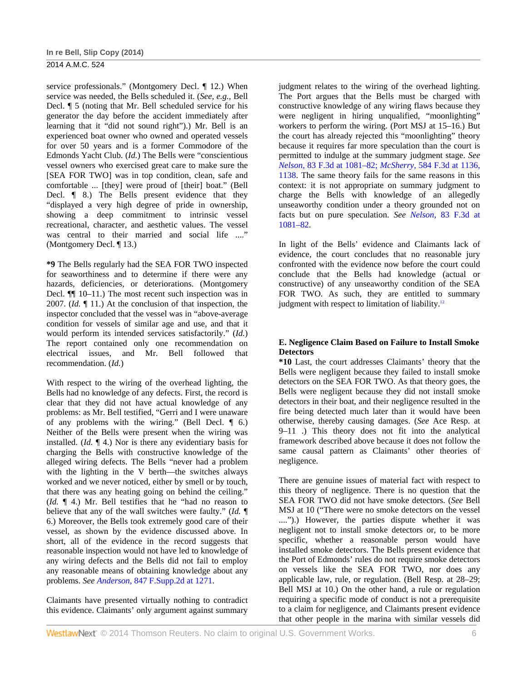service professionals." (Montgomery Decl. ¶ 12.) When service was needed, the Bells scheduled it. (*See, e.g.,* Bell Decl. ¶ 5 (noting that Mr. Bell scheduled service for his generator the day before the accident immediately after learning that it "did not sound right").) Mr. Bell is an experienced boat owner who owned and operated vessels for over 50 years and is a former Commodore of the Edmonds Yacht Club. (*Id.*) The Bells were "conscientious vessel owners who exercised great care to make sure the [SEA FOR TWO] was in top condition, clean, safe and comfortable ... [they] were proud of [their] boat." (Bell Decl. ¶ 8.) The Bells present evidence that they "displayed a very high degree of pride in ownership, showing a deep commitment to intrinsic vessel recreational, character, and aesthetic values. The vessel was central to their married and social life ...." (Montgomery Decl. ¶ 13.)

**\*9** The Bells regularly had the SEA FOR TWO inspected for seaworthiness and to determine if there were any hazards, deficiencies, or deteriorations. (Montgomery Decl. ¶¶ 10–11.) The most recent such inspection was in 2007. (*Id.* ¶ 11.) At the conclusion of that inspection, the inspector concluded that the vessel was in "above-average condition for vessels of similar age and use, and that it would perform its intended services satisfactorily." (*Id.*) The report contained only one recommendation on electrical issues, and Mr. Bell followed that recommendation. (*Id.*)

With respect to the wiring of the overhead lighting, the Bells had no knowledge of any defects. First, the record is clear that they did not have actual knowledge of any problems: as Mr. Bell testified, "Gerri and I were unaware of any problems with the wiring." (Bell Decl. ¶ 6.) Neither of the Bells were present when the wiring was installed. (*Id.* ¶ 4.) Nor is there any evidentiary basis for charging the Bells with constructive knowledge of the alleged wiring defects. The Bells "never had a problem with the lighting in the V berth—the switches always worked and we never noticed, either by smell or by touch, that there was any heating going on behind the ceiling." (*Id.* ¶ 4.) Mr. Bell testifies that he "had no reason to believe that any of the wall switches were faulty." (*Id.* ¶ 6.) Moreover, the Bells took extremely good care of their vessel, as shown by the evidence discussed above. In short, all of the evidence in the record suggests that reasonable inspection would not have led to knowledge of any wiring defects and the Bells did not fail to employ any reasonable means of obtaining knowledge about any problems. *See Anderson,* 847 F.Supp.2d at 1271.

Claimants have presented virtually nothing to contradict this evidence. Claimants' only argument against summary judgment relates to the wiring of the overhead lighting. The Port argues that the Bells must be charged with constructive knowledge of any wiring flaws because they were negligent in hiring unqualified, "moonlighting" workers to perform the wiring. (Port MSJ at 15–16.) But the court has already rejected this "moonlighting" theory because it requires far more speculation than the court is permitted to indulge at the summary judgment stage. *See Nelson,* 83 F.3d at 1081–82; *McSherry,* 584 F.3d at 1136, 1138. The same theory fails for the same reasons in this context: it is not appropriate on summary judgment to charge the Bells with knowledge of an allegedly unseaworthy condition under a theory grounded not on facts but on pure speculation. *See Nelson,* 83 F.3d at 1081–82.

In light of the Bells' evidence and Claimants lack of evidence, the court concludes that no reasonable jury confronted with the evidence now before the court could conclude that the Bells had knowledge (actual or constructive) of any unseaworthy condition of the SEA FOR TWO. As such, they are entitled to summary judgment with respect to limitation of liability.<sup>12</sup>

## **E. Negligence Claim Based on Failure to Install Smoke Detectors**

**\*10** Last, the court addresses Claimants' theory that the Bells were negligent because they failed to install smoke detectors on the SEA FOR TWO. As that theory goes, the Bells were negligent because they did not install smoke detectors in their boat, and their negligence resulted in the fire being detected much later than it would have been otherwise, thereby causing damages. (*See* Ace Resp. at 9–11 .) This theory does not fit into the analytical framework described above because it does not follow the same causal pattern as Claimants' other theories of negligence.

There are genuine issues of material fact with respect to this theory of negligence. There is no question that the SEA FOR TWO did not have smoke detectors. (*See* Bell MSJ at 10 ("There were no smoke detectors on the vessel ....").) However, the parties dispute whether it was negligent not to install smoke detectors or, to be more specific, whether a reasonable person would have installed smoke detectors. The Bells present evidence that the Port of Edmonds' rules do not require smoke detectors on vessels like the SEA FOR TWO, nor does any applicable law, rule, or regulation. (Bell Resp. at 28–29; Bell MSJ at 10.) On the other hand, a rule or regulation requiring a specific mode of conduct is not a prerequisite to a claim for negligence, and Claimants present evidence that other people in the marina with similar vessels did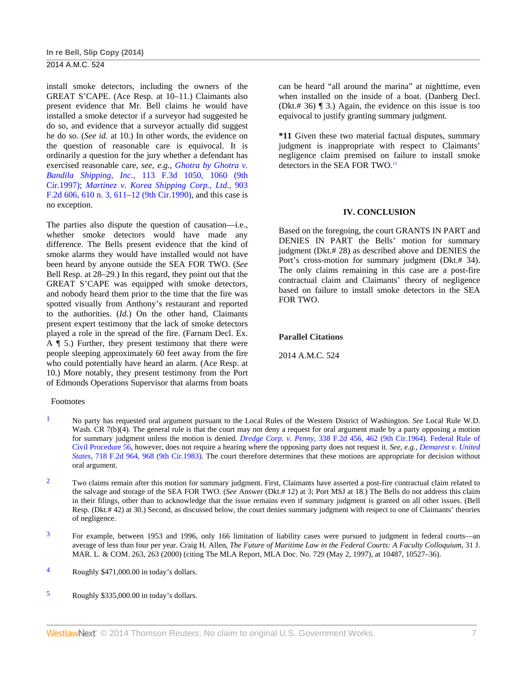# **In re Bell, Slip Copy (2014)**

## 2014 A.M.C. 524

install smoke detectors, including the owners of the GREAT S'CAPE. (Ace Resp. at 10–11.) Claimants also present evidence that Mr. Bell claims he would have installed a smoke detector if a surveyor had suggested he do so, and evidence that a surveyor actually did suggest he do so. (*See id.* at 10.) In other words, the evidence on the question of reasonable care is equivocal. It is ordinarily a question for the jury whether a defendant has exercised reasonable care, *see, e.g., Ghotra by Ghotra v. Bandila Shipping, Inc.,* 113 F.3d 1050, 1060 (9th Cir.1997); *Martinez v. Korea Shipping Corp., Ltd.,* 903 F.2d 606, 610 n. 3, 611–12 (9th Cir.1990), and this case is no exception.

The parties also dispute the question of causation—i.e., whether smoke detectors would have made any difference. The Bells present evidence that the kind of smoke alarms they would have installed would not have been heard by anyone outside the SEA FOR TWO. (*See* Bell Resp. at 28–29.) In this regard, they point out that the GREAT S'CAPE was equipped with smoke detectors, and nobody heard them prior to the time that the fire was spotted visually from Anthony's restaurant and reported to the authorities. (*Id.*) On the other hand, Claimants present expert testimony that the lack of smoke detectors played a role in the spread of the fire. (Farnam Decl. Ex. A ¶ 5.) Further, they present testimony that there were people sleeping approximately 60 feet away from the fire who could potentially have heard an alarm. (Ace Resp. at 10.) More notably, they present testimony from the Port of Edmonds Operations Supervisor that alarms from boats

#### Footnotes

can be heard "all around the marina" at nighttime, even when installed on the inside of a boat. (Danberg Decl. (Dkt.# 36) ¶ 3.) Again, the evidence on this issue is too equivocal to justify granting summary judgment.

**\*11** Given these two material factual disputes, summary judgment is inappropriate with respect to Claimants' negligence claim premised on failure to install smoke detectors in the SEA FOR TWO.<sup>13</sup>

#### **IV. CONCLUSION**

Based on the foregoing, the court GRANTS IN PART and DENIES IN PART the Bells' motion for summary judgment (Dkt.# 28) as described above and DENIES the Port's cross-motion for summary judgment (Dkt.# 34). The only claims remaining in this case are a post-fire contractual claim and Claimants' theory of negligence based on failure to install smoke detectors in the SEA FOR TWO.

### **Parallel Citations**

2014 A.M.C. 524

- 1 No party has requested oral argument pursuant to the Local Rules of the Western District of Washington. *See* Local Rule W.D. Wash. CR 7(b)(4). The general rule is that the court may not deny a request for oral argument made by a party opposing a motion for summary judgment unless the motion is denied. *Dredge Corp. v. Penny,* 338 F.2d 456, 462 (9th Cir.1964). Federal Rule of Civil Procedure 56, however, does not require a hearing where the opposing party does not request it. *See, e.g., Demarest v. United States,* 718 F.2d 964, 968 (9th Cir.1983). The court therefore determines that these motions are appropriate for decision without oral argument.
- <sup>2</sup> Two claims remain after this motion for summary judgment. First, Claimants have asserted a post-fire contractual claim related to the salvage and storage of the SEA FOR TWO. (*See* Answer (Dkt.# 12) at 3; Port MSJ at 18.) The Bells do not address this claim in their filings, other than to acknowledge that the issue remains even if summary judgment is granted on all other issues. (Bell Resp. (Dkt.# 42) at 30.) Second, as discussed below, the court denies summary judgment with respect to one of Claimants' theories of negligence.
- 3 For example, between 1953 and 1996, only 166 limitation of liability cases were pursued to judgment in federal courts—an average of less than four per year. Craig H. Allen, *The Future of Maritime Law in the Federal Courts: A Faculty Colloquium,* 31 J. MAR. L. & COM. 263, 263 (2000) (citing The MLA Report, MLA Doc. No. 729 (May 2, 1997), at 10487, 10527–36).
- 4 Roughly \$471,000.00 in today's dollars.
- 5 Roughly \$335,000.00 in today's dollars.